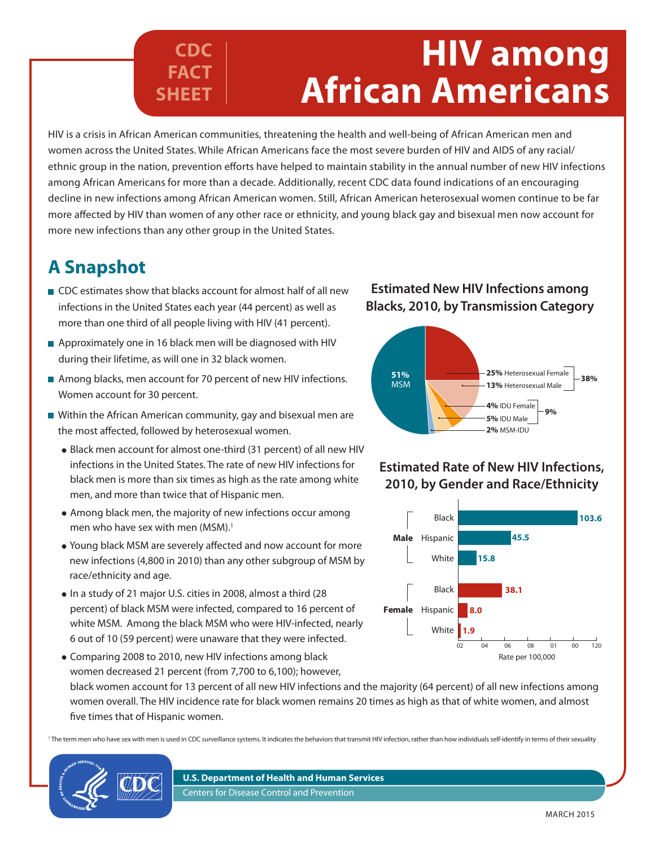# **HIV among African Americans**

HIV is a crisis in African American communities, threatening the health and well-being of African American men and women across the United States. While African Americans face the most severe burden of HIV and AIDS of any racial/ ethnic group in the nation, prevention efforts have helped to maintain stability in the annual number of new HIV infections among African Americans for more than a decade. Additionally, recent CDC data found indications of an encouraging decline in new infections among African American women. Still, African American heterosexual women continue to be far more affected by HIV than women of any other race or ethnicity, and young black gay and bisexual men now account for more new infections than any other group in the United States.

## **A Snapshot**

■ CDC estimates show that blacks account for almost half of all new infections in the United States each year (44 percent) as well as more than one third of all people living with HIV (41 percent).

**CDC FACT** 

**SHEET**

- Approximately one in 16 black men will be diagnosed with HIV during their lifetime, as will one in 32 black women.
- Among blacks, men account for 70 percent of new HIV infections. Women account for 30 percent.
- Within the African American community, gay and bisexual men are the most affected, followed by heterosexual women.
	- Black men account for almost one-third (31 percent) of all new HIV infections in the United States. The rate of new HIV infections for black men is more than six times as high as the rate among white men, and more than twice that of Hispanic men.
	- Among black men, the majority of new infections occur among men who have sex with men (MSM).<sup>1</sup>
	- Young black MSM are severely affected and now account for more new infections (4,800 in 2010) than any other subgroup of MSM by race/ethnicity and age.
	- In a study of 21 major U.S. cities in 2008, almost a third (28 percent) of black MSM were infected, compared to 16 percent of white MSM. Among the black MSM who were HIV-infected, nearly 6 out of 10 (59 percent) were unaware that they were infected.
	- Comparing 2008 to 2010, new HIV infections among black women decreased 21 percent (from 7,700 to 6,100); however, black women account for 13 percent of all new HIV infections and the majority (64 percent) of all new infections among women overall. The HIV incidence rate for black women remains 20 times as high as that of white women, and almost five times that of Hispanic women. Rate per 100,000

<sup>1</sup> The term men who have sex with men is used in CDC surveillance systems. It indicates the behaviors that transmit HIV infection, rather than how individuals self-identify in terms of their sexuality

#### **U.S. Department of Health and Human Services** Centers for Disease Control and Prevention

#### **Estimated New HIV Infections among Blacks, 2010, by Transmission Category**



#### **Estimated Rate of New HIV Infections, 2010, by Gender and Race/Ethnicity**